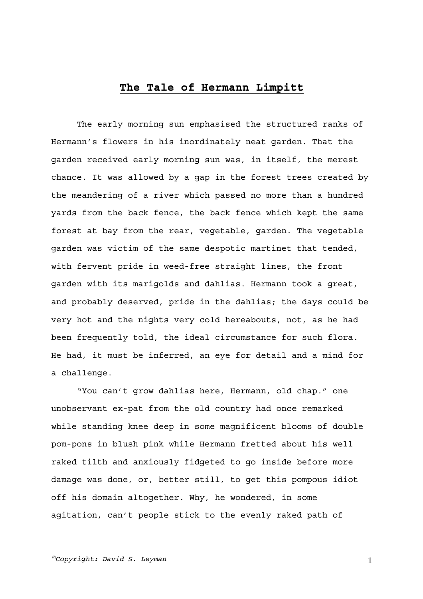## **The Tale of Hermann Limpitt**

The early morning sun emphasised the structured ranks of Hermann's flowers in his inordinately neat garden. That the garden received early morning sun was, in itself, the merest chance. It was allowed by a gap in the forest trees created by the meandering of a river which passed no more than a hundred yards from the back fence, the back fence which kept the same forest at bay from the rear, vegetable, garden. The vegetable garden was victim of the same despotic martinet that tended, with fervent pride in weed-free straight lines, the front garden with its marigolds and dahlias. Hermann took a great, and probably deserved, pride in the dahlias; the days could be very hot and the nights very cold hereabouts, not, as he had been frequently told, the ideal circumstance for such flora. He had, it must be inferred, an eye for detail and a mind for a challenge.

"You can't grow dahlias here, Hermann, old chap." one unobservant ex-pat from the old country had once remarked while standing knee deep in some magnificent blooms of double pom-pons in blush pink while Hermann fretted about his well raked tilth and anxiously fidgeted to go inside before more damage was done, or, better still, to get this pompous idiot off his domain altogether. Why, he wondered, in some agitation, can't people stick to the evenly raked path of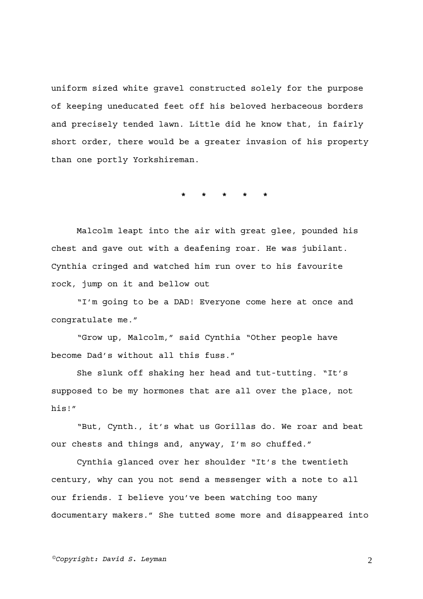uniform sized white gravel constructed solely for the purpose of keeping uneducated feet off his beloved herbaceous borders and precisely tended lawn. Little did he know that, in fairly short order, there would be a greater invasion of his property than one portly Yorkshireman.

**\* \* \* \* \*** 

Malcolm leapt into the air with great glee, pounded his chest and gave out with a deafening roar. He was jubilant. Cynthia cringed and watched him run over to his favourite rock, jump on it and bellow out

"I'm going to be a DAD! Everyone come here at once and congratulate me."

"Grow up, Malcolm," said Cynthia "Other people have become Dad's without all this fuss."

She slunk off shaking her head and tut-tutting. "It's supposed to be my hormones that are all over the place, not his!"

"But, Cynth., it's what us Gorillas do. We roar and beat our chests and things and, anyway, I'm so chuffed."

Cynthia glanced over her shoulder "It's the twentieth century, why can you not send a messenger with a note to all our friends. I believe you've been watching too many documentary makers." She tutted some more and disappeared into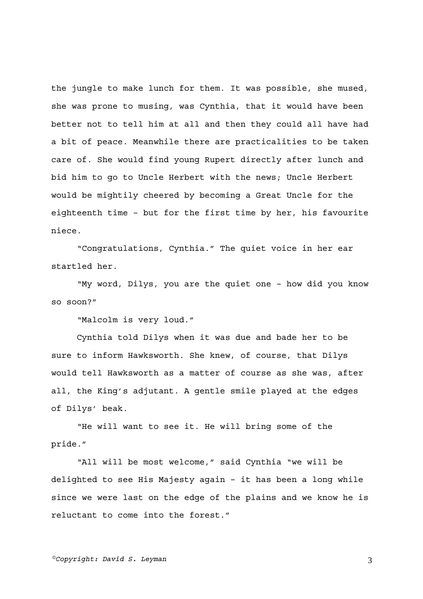the jungle to make lunch for them. It was possible, she mused, she was prone to musing, was Cynthia, that it would have been better not to tell him at all and then they could all have had a bit of peace. Meanwhile there are practicalities to be taken care of. She would find young Rupert directly after lunch and bid him to go to Uncle Herbert with the news; Uncle Herbert would be mightily cheered by becoming a Great Uncle for the eighteenth time – but for the first time by her, his favourite niece.

"Congratulations, Cynthia." The quiet voice in her ear startled her.

"My word, Dilys, you are the quiet one – how did you know so soon?"

"Malcolm is very loud."

Cynthia told Dilys when it was due and bade her to be sure to inform Hawksworth. She knew, of course, that Dilys would tell Hawksworth as a matter of course as she was, after all, the King's adjutant. A gentle smile played at the edges of Dilys' beak.

"He will want to see it. He will bring some of the pride."

"All will be most welcome," said Cynthia "we will be delighted to see His Majesty again – it has been a long while since we were last on the edge of the plains and we know he is reluctant to come into the forest."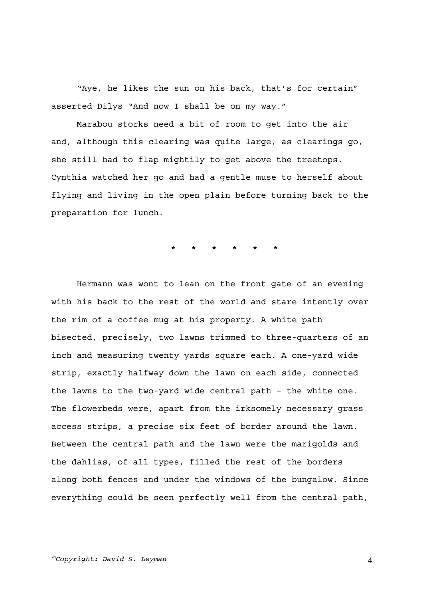"Aye, he likes the sun on his back, that's for certain" asserted Dilys "And now I shall be on my way."

Marabou storks need a bit of room to get into the air and, although this clearing was quite large, as clearings go, she still had to flap mightily to get above the treetops. Cynthia watched her go and had a gentle muse to herself about flying and living in the open plain before turning back to the preparation for lunch.

**\* \* \* \* \* \*** 

Hermann was wont to lean on the front gate of an evening with his back to the rest of the world and stare intently over the rim of a coffee mug at his property. A white path bisected, precisely, two lawns trimmed to three-quarters of an inch and measuring twenty yards square each. A one-yard wide strip, exactly halfway down the lawn on each side, connected the lawns to the two-yard wide central path – the white one. The flowerbeds were, apart from the irksomely necessary grass access strips, a precise six feet of border around the lawn. Between the central path and the lawn were the marigolds and the dahlias, of all types, filled the rest of the borders along both fences and under the windows of the bungalow. Since everything could be seen perfectly well from the central path,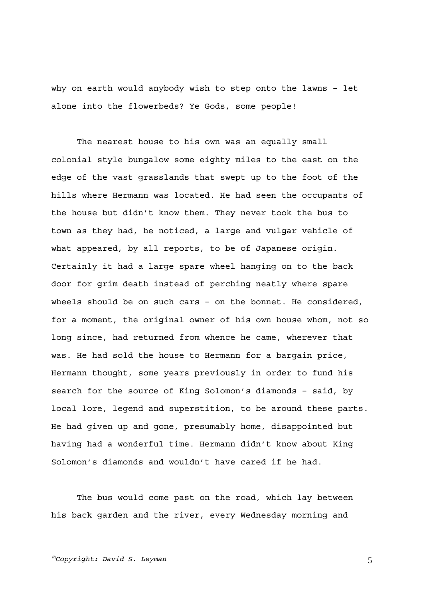why on earth would anybody wish to step onto the lawns – let alone into the flowerbeds? Ye Gods, some people!

The nearest house to his own was an equally small colonial style bungalow some eighty miles to the east on the edge of the vast grasslands that swept up to the foot of the hills where Hermann was located. He had seen the occupants of the house but didn't know them. They never took the bus to town as they had, he noticed, a large and vulgar vehicle of what appeared, by all reports, to be of Japanese origin. Certainly it had a large spare wheel hanging on to the back door for grim death instead of perching neatly where spare wheels should be on such cars – on the bonnet. He considered, for a moment, the original owner of his own house whom, not so long since, had returned from whence he came, wherever that was. He had sold the house to Hermann for a bargain price, Hermann thought, some years previously in order to fund his search for the source of King Solomon's diamonds – said, by local lore, legend and superstition, to be around these parts. He had given up and gone, presumably home, disappointed but having had a wonderful time. Hermann didn't know about King Solomon's diamonds and wouldn't have cared if he had.

The bus would come past on the road, which lay between his back garden and the river, every Wednesday morning and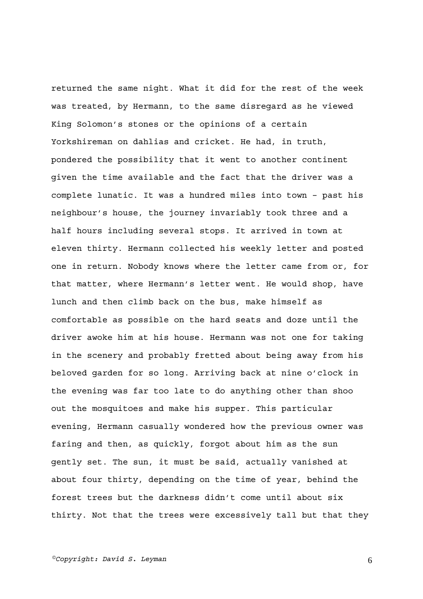returned the same night. What it did for the rest of the week was treated, by Hermann, to the same disregard as he viewed King Solomon's stones or the opinions of a certain Yorkshireman on dahlias and cricket. He had, in truth, pondered the possibility that it went to another continent given the time available and the fact that the driver was a complete lunatic. It was a hundred miles into town – past his neighbour's house, the journey invariably took three and a half hours including several stops. It arrived in town at eleven thirty. Hermann collected his weekly letter and posted one in return. Nobody knows where the letter came from or, for that matter, where Hermann's letter went. He would shop, have lunch and then climb back on the bus, make himself as comfortable as possible on the hard seats and doze until the driver awoke him at his house. Hermann was not one for taking in the scenery and probably fretted about being away from his beloved garden for so long. Arriving back at nine o'clock in the evening was far too late to do anything other than shoo out the mosquitoes and make his supper. This particular evening, Hermann casually wondered how the previous owner was faring and then, as quickly, forgot about him as the sun gently set. The sun, it must be said, actually vanished at about four thirty, depending on the time of year, behind the forest trees but the darkness didn't come until about six thirty. Not that the trees were excessively tall but that they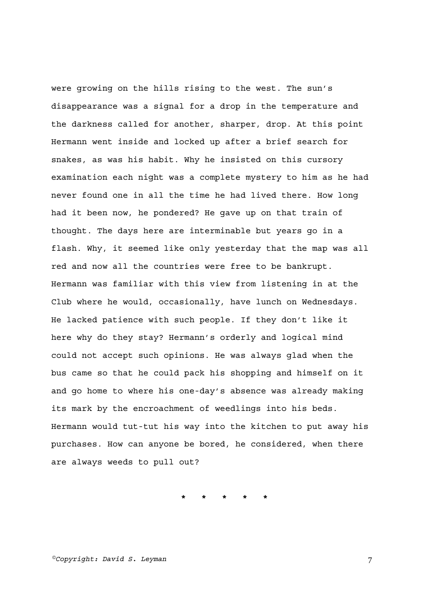were growing on the hills rising to the west. The sun's disappearance was a signal for a drop in the temperature and the darkness called for another, sharper, drop. At this point Hermann went inside and locked up after a brief search for snakes, as was his habit. Why he insisted on this cursory examination each night was a complete mystery to him as he had never found one in all the time he had lived there. How long had it been now, he pondered? He gave up on that train of thought. The days here are interminable but years go in a flash. Why, it seemed like only yesterday that the map was all red and now all the countries were free to be bankrupt. Hermann was familiar with this view from listening in at the Club where he would, occasionally, have lunch on Wednesdays. He lacked patience with such people. If they don't like it here why do they stay? Hermann's orderly and logical mind could not accept such opinions. He was always glad when the bus came so that he could pack his shopping and himself on it and go home to where his one-day's absence was already making its mark by the encroachment of weedlings into his beds. Hermann would tut-tut his way into the kitchen to put away his purchases. How can anyone be bored, he considered, when there are always weeds to pull out?

**\* \* \* \* \***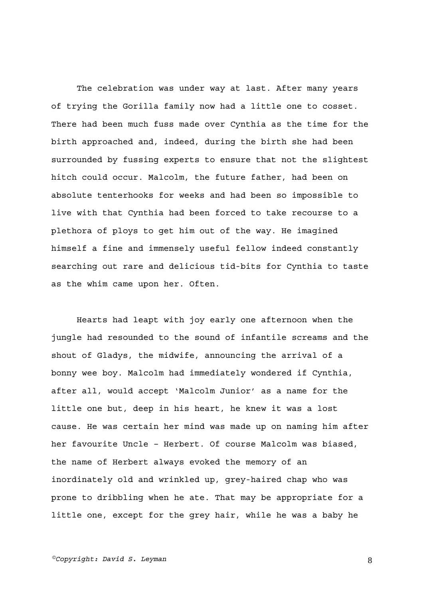The celebration was under way at last. After many years of trying the Gorilla family now had a little one to cosset. There had been much fuss made over Cynthia as the time for the birth approached and, indeed, during the birth she had been surrounded by fussing experts to ensure that not the slightest hitch could occur. Malcolm, the future father, had been on absolute tenterhooks for weeks and had been so impossible to live with that Cynthia had been forced to take recourse to a plethora of ploys to get him out of the way. He imagined himself a fine and immensely useful fellow indeed constantly searching out rare and delicious tid-bits for Cynthia to taste as the whim came upon her. Often.

Hearts had leapt with joy early one afternoon when the jungle had resounded to the sound of infantile screams and the shout of Gladys, the midwife, announcing the arrival of a bonny wee boy. Malcolm had immediately wondered if Cynthia, after all, would accept 'Malcolm Junior' as a name for the little one but, deep in his heart, he knew it was a lost cause. He was certain her mind was made up on naming him after her favourite Uncle – Herbert. Of course Malcolm was biased, the name of Herbert always evoked the memory of an inordinately old and wrinkled up, grey-haired chap who was prone to dribbling when he ate. That may be appropriate for a little one, except for the grey hair, while he was a baby he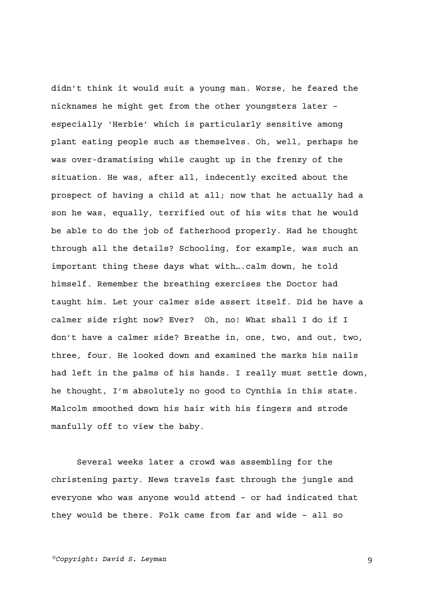didn't think it would suit a young man. Worse, he feared the nicknames he might get from the other youngsters later – especially 'Herbie' which is particularly sensitive among plant eating people such as themselves. Oh, well, perhaps he was over-dramatising while caught up in the frenzy of the situation. He was, after all, indecently excited about the prospect of having a child at all; now that he actually had a son he was, equally, terrified out of his wits that he would be able to do the job of fatherhood properly. Had he thought through all the details? Schooling, for example, was such an important thing these days what with….calm down, he told himself. Remember the breathing exercises the Doctor had taught him. Let your calmer side assert itself. Did he have a calmer side right now? Ever? Oh, no! What shall I do if I don't have a calmer side? Breathe in, one, two, and out, two, three, four. He looked down and examined the marks his nails had left in the palms of his hands. I really must settle down, he thought, I'm absolutely no good to Cynthia in this state. Malcolm smoothed down his hair with his fingers and strode manfully off to view the baby.

Several weeks later a crowd was assembling for the christening party. News travels fast through the jungle and everyone who was anyone would attend – or had indicated that they would be there. Folk came from far and wide – all so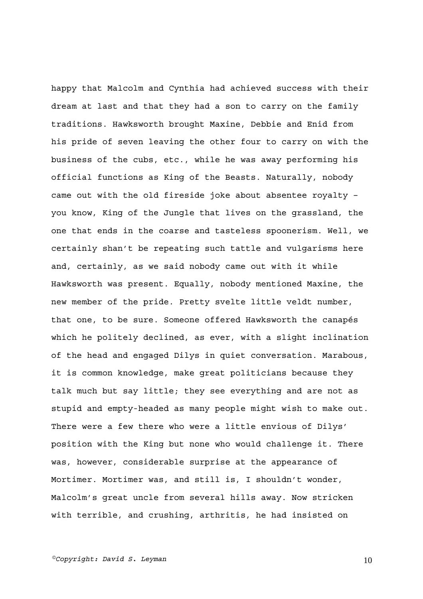happy that Malcolm and Cynthia had achieved success with their dream at last and that they had a son to carry on the family traditions. Hawksworth brought Maxine, Debbie and Enid from his pride of seven leaving the other four to carry on with the business of the cubs, etc., while he was away performing his official functions as King of the Beasts. Naturally, nobody came out with the old fireside joke about absentee royalty – you know, King of the Jungle that lives on the grassland, the one that ends in the coarse and tasteless spoonerism. Well, we certainly shan't be repeating such tattle and vulgarisms here and, certainly, as we said nobody came out with it while Hawksworth was present. Equally, nobody mentioned Maxine, the new member of the pride. Pretty svelte little veldt number, that one, to be sure. Someone offered Hawksworth the canapés which he politely declined, as ever, with a slight inclination of the head and engaged Dilys in quiet conversation. Marabous, it is common knowledge, make great politicians because they talk much but say little; they see everything and are not as stupid and empty-headed as many people might wish to make out. There were a few there who were a little envious of Dilys' position with the King but none who would challenge it. There was, however, considerable surprise at the appearance of Mortimer. Mortimer was, and still is, I shouldn't wonder, Malcolm's great uncle from several hills away. Now stricken with terrible, and crushing, arthritis, he had insisted on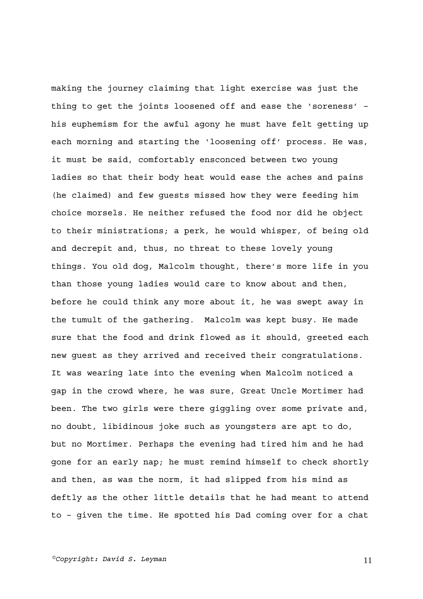making the journey claiming that light exercise was just the thing to get the joints loosened off and ease the 'soreness' – his euphemism for the awful agony he must have felt getting up each morning and starting the 'loosening off' process. He was, it must be said, comfortably ensconced between two young ladies so that their body heat would ease the aches and pains (he claimed) and few guests missed how they were feeding him choice morsels. He neither refused the food nor did he object to their ministrations; a perk, he would whisper, of being old and decrepit and, thus, no threat to these lovely young things. You old dog, Malcolm thought, there's more life in you than those young ladies would care to know about and then, before he could think any more about it, he was swept away in the tumult of the gathering. Malcolm was kept busy. He made sure that the food and drink flowed as it should, greeted each new guest as they arrived and received their congratulations. It was wearing late into the evening when Malcolm noticed a gap in the crowd where, he was sure, Great Uncle Mortimer had been. The two girls were there giggling over some private and, no doubt, libidinous joke such as youngsters are apt to do, but no Mortimer. Perhaps the evening had tired him and he had gone for an early nap; he must remind himself to check shortly and then, as was the norm, it had slipped from his mind as deftly as the other little details that he had meant to attend to – given the time. He spotted his Dad coming over for a chat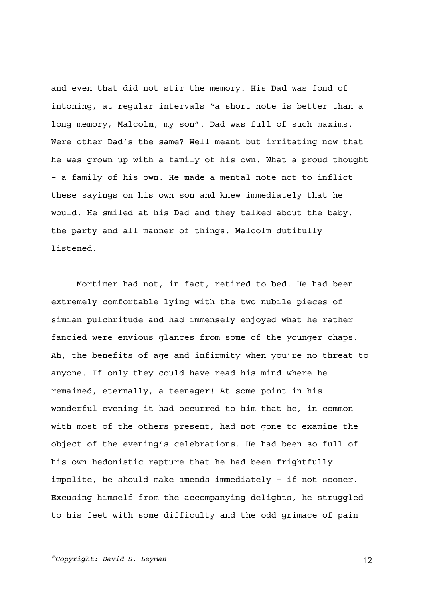and even that did not stir the memory. His Dad was fond of intoning, at regular intervals "a short note is better than a long memory, Malcolm, my son". Dad was full of such maxims. Were other Dad's the same? Well meant but irritating now that he was grown up with a family of his own. What a proud thought – a family of his own. He made a mental note not to inflict these sayings on his own son and knew immediately that he would. He smiled at his Dad and they talked about the baby, the party and all manner of things. Malcolm dutifully listened.

Mortimer had not, in fact, retired to bed. He had been extremely comfortable lying with the two nubile pieces of simian pulchritude and had immensely enjoyed what he rather fancied were envious glances from some of the younger chaps. Ah, the benefits of age and infirmity when you're no threat to anyone. If only they could have read his mind where he remained, eternally, a teenager! At some point in his wonderful evening it had occurred to him that he, in common with most of the others present, had not gone to examine the object of the evening's celebrations. He had been so full of his own hedonistic rapture that he had been frightfully impolite, he should make amends immediately – if not sooner. Excusing himself from the accompanying delights, he struggled to his feet with some difficulty and the odd grimace of pain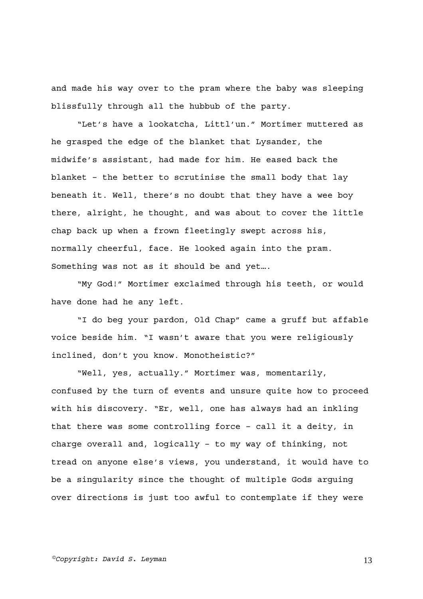and made his way over to the pram where the baby was sleeping blissfully through all the hubbub of the party.

"Let's have a lookatcha, Littl'un." Mortimer muttered as he grasped the edge of the blanket that Lysander, the midwife's assistant, had made for him. He eased back the blanket – the better to scrutinise the small body that lay beneath it. Well, there's no doubt that they have a wee boy there, alright, he thought, and was about to cover the little chap back up when a frown fleetingly swept across his, normally cheerful, face. He looked again into the pram. Something was not as it should be and yet….

"My God!" Mortimer exclaimed through his teeth, or would have done had he any left.

"I do beg your pardon, Old Chap" came a gruff but affable voice beside him. "I wasn't aware that you were religiously inclined, don't you know. Monotheistic?"

"Well, yes, actually." Mortimer was, momentarily, confused by the turn of events and unsure quite how to proceed with his discovery. "Er, well, one has always had an inkling that there was some controlling force – call it a deity, in charge overall and, logically – to my way of thinking, not tread on anyone else's views, you understand, it would have to be a singularity since the thought of multiple Gods arguing over directions is just too awful to contemplate if they were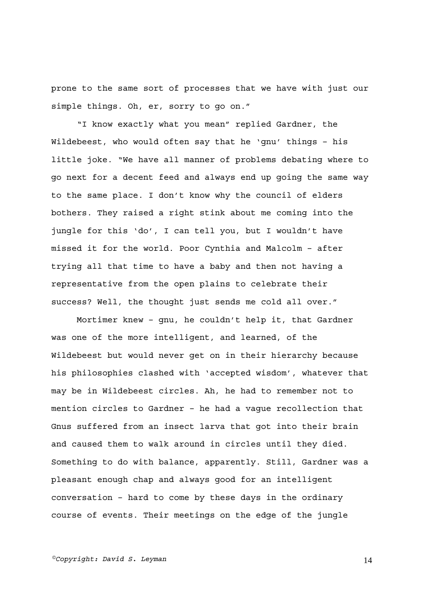prone to the same sort of processes that we have with just our simple things. Oh, er, sorry to go on."

"I know exactly what you mean" replied Gardner, the Wildebeest, who would often say that he 'gnu' things – his little joke. "We have all manner of problems debating where to go next for a decent feed and always end up going the same way to the same place. I don't know why the council of elders bothers. They raised a right stink about me coming into the jungle for this 'do', I can tell you, but I wouldn't have missed it for the world. Poor Cynthia and Malcolm – after trying all that time to have a baby and then not having a representative from the open plains to celebrate their success? Well, the thought just sends me cold all over."

Mortimer knew – gnu, he couldn't help it, that Gardner was one of the more intelligent, and learned, of the Wildebeest but would never get on in their hierarchy because his philosophies clashed with 'accepted wisdom', whatever that may be in Wildebeest circles. Ah, he had to remember not to mention circles to Gardner – he had a vague recollection that Gnus suffered from an insect larva that got into their brain and caused them to walk around in circles until they died. Something to do with balance, apparently. Still, Gardner was a pleasant enough chap and always good for an intelligent conversation – hard to come by these days in the ordinary course of events. Their meetings on the edge of the jungle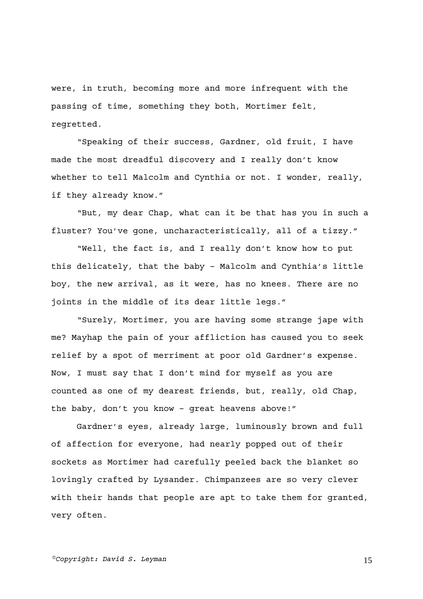were, in truth, becoming more and more infrequent with the passing of time, something they both, Mortimer felt, regretted.

"Speaking of their success, Gardner, old fruit, I have made the most dreadful discovery and I really don't know whether to tell Malcolm and Cynthia or not. I wonder, really, if they already know."

"But, my dear Chap, what can it be that has you in such a fluster? You've gone, uncharacteristically, all of a tizzy."

"Well, the fact is, and I really don't know how to put this delicately, that the baby – Malcolm and Cynthia's little boy, the new arrival, as it were, has no knees. There are no joints in the middle of its dear little legs."

"Surely, Mortimer, you are having some strange jape with me? Mayhap the pain of your affliction has caused you to seek relief by a spot of merriment at poor old Gardner's expense. Now, I must say that I don't mind for myself as you are counted as one of my dearest friends, but, really, old Chap, the baby, don't you know – great heavens above!"

Gardner's eyes, already large, luminously brown and full of affection for everyone, had nearly popped out of their sockets as Mortimer had carefully peeled back the blanket so lovingly crafted by Lysander. Chimpanzees are so very clever with their hands that people are apt to take them for granted, very often.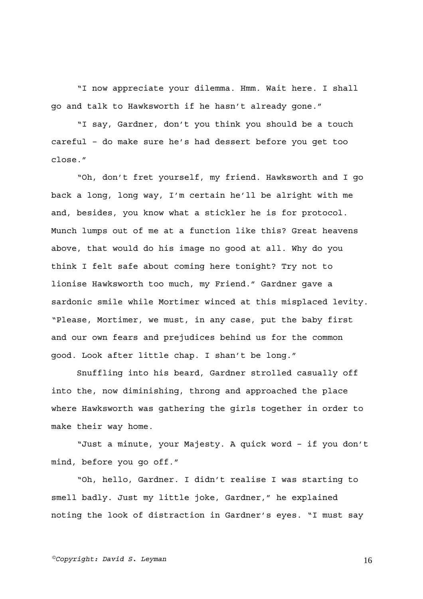"I now appreciate your dilemma. Hmm. Wait here. I shall go and talk to Hawksworth if he hasn't already gone."

"I say, Gardner, don't you think you should be a touch careful – do make sure he's had dessert before you get too close."

"Oh, don't fret yourself, my friend. Hawksworth and I go back a long, long way, I'm certain he'll be alright with me and, besides, you know what a stickler he is for protocol. Munch lumps out of me at a function like this? Great heavens above, that would do his image no good at all. Why do you think I felt safe about coming here tonight? Try not to lionise Hawksworth too much, my Friend." Gardner gave a sardonic smile while Mortimer winced at this misplaced levity. "Please, Mortimer, we must, in any case, put the baby first and our own fears and prejudices behind us for the common good. Look after little chap. I shan't be long."

Snuffling into his beard, Gardner strolled casually off into the, now diminishing, throng and approached the place where Hawksworth was gathering the girls together in order to make their way home.

"Just a minute, your Majesty. A quick word – if you don't mind, before you go off."

"Oh, hello, Gardner. I didn't realise I was starting to smell badly. Just my little joke, Gardner," he explained noting the look of distraction in Gardner's eyes. "I must say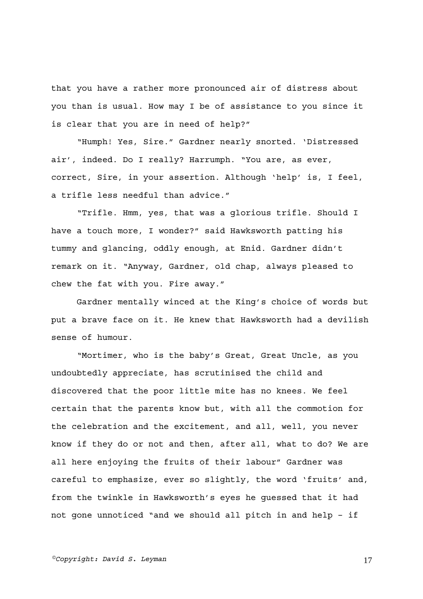that you have a rather more pronounced air of distress about you than is usual. How may I be of assistance to you since it is clear that you are in need of help?"

"Humph! Yes, Sire." Gardner nearly snorted. 'Distressed air', indeed. Do I really? Harrumph. "You are, as ever, correct, Sire, in your assertion. Although 'help' is, I feel, a trifle less needful than advice."

"Trifle. Hmm, yes, that was a glorious trifle. Should I have a touch more, I wonder?" said Hawksworth patting his tummy and glancing, oddly enough, at Enid. Gardner didn't remark on it. "Anyway, Gardner, old chap, always pleased to chew the fat with you. Fire away."

Gardner mentally winced at the King's choice of words but put a brave face on it. He knew that Hawksworth had a devilish sense of humour.

"Mortimer, who is the baby's Great, Great Uncle, as you undoubtedly appreciate, has scrutinised the child and discovered that the poor little mite has no knees. We feel certain that the parents know but, with all the commotion for the celebration and the excitement, and all, well, you never know if they do or not and then, after all, what to do? We are all here enjoying the fruits of their labour" Gardner was careful to emphasize, ever so slightly, the word 'fruits' and, from the twinkle in Hawksworth's eyes he guessed that it had not gone unnoticed "and we should all pitch in and help – if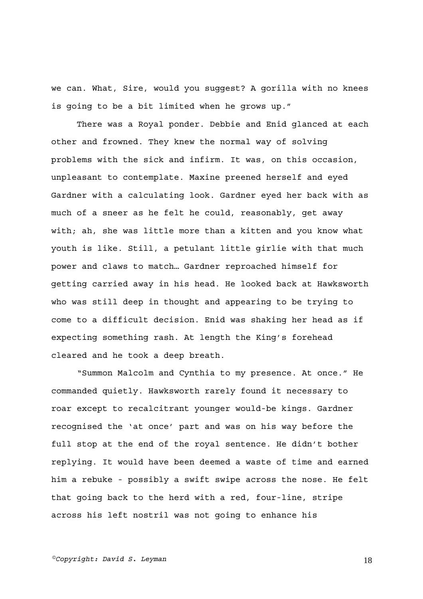we can. What, Sire, would you suggest? A gorilla with no knees is going to be a bit limited when he grows up."

There was a Royal ponder. Debbie and Enid glanced at each other and frowned. They knew the normal way of solving problems with the sick and infirm. It was, on this occasion, unpleasant to contemplate. Maxine preened herself and eyed Gardner with a calculating look. Gardner eyed her back with as much of a sneer as he felt he could, reasonably, get away with; ah, she was little more than a kitten and you know what youth is like. Still, a petulant little girlie with that much power and claws to match… Gardner reproached himself for getting carried away in his head. He looked back at Hawksworth who was still deep in thought and appearing to be trying to come to a difficult decision. Enid was shaking her head as if expecting something rash. At length the King's forehead cleared and he took a deep breath.

"Summon Malcolm and Cynthia to my presence. At once." He commanded quietly. Hawksworth rarely found it necessary to roar except to recalcitrant younger would-be kings. Gardner recognised the 'at once' part and was on his way before the full stop at the end of the royal sentence. He didn't bother replying. It would have been deemed a waste of time and earned him a rebuke - possibly a swift swipe across the nose. He felt that going back to the herd with a red, four-line, stripe across his left nostril was not going to enhance his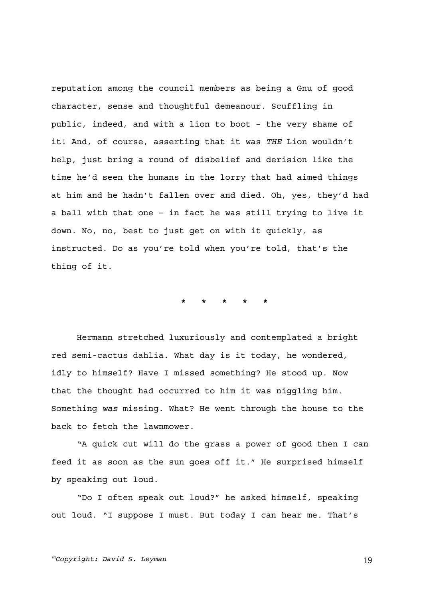reputation among the council members as being a Gnu of good character, sense and thoughtful demeanour. Scuffling in public, indeed, and with a lion to boot – the very shame of it! And, of course, asserting that it was *THE* Lion wouldn't help, just bring a round of disbelief and derision like the time he'd seen the humans in the lorry that had aimed things at him and he hadn't fallen over and died. Oh, yes, they'd had a ball with that one – in fact he was still trying to live it down. No, no, best to just get on with it quickly, as instructed. Do as you're told when you're told, that's the thing of it.

**\* \* \* \* \*** 

Hermann stretched luxuriously and contemplated a bright red semi-cactus dahlia. What day is it today, he wondered, idly to himself? Have I missed something? He stood up. Now that the thought had occurred to him it was niggling him. Something *was* missing. What? He went through the house to the back to fetch the lawnmower.

"A quick cut will do the grass a power of good then I can feed it as soon as the sun goes off it." He surprised himself by speaking out loud.

"Do I often speak out loud?" he asked himself, speaking out loud. "I suppose I must. But today I can hear me. That's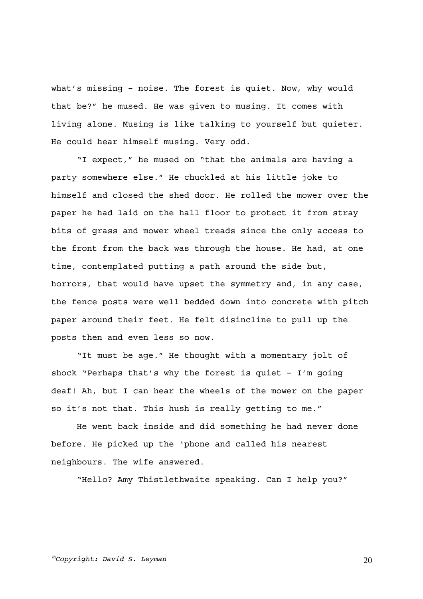what's missing – noise. The forest is quiet. Now, why would that be?" he mused. He was given to musing. It comes with living alone. Musing is like talking to yourself but quieter. He could hear himself musing. Very odd.

"I expect," he mused on "that the animals are having a party somewhere else." He chuckled at his little joke to himself and closed the shed door. He rolled the mower over the paper he had laid on the hall floor to protect it from stray bits of grass and mower wheel treads since the only access to the front from the back was through the house. He had, at one time, contemplated putting a path around the side but, horrors, that would have upset the symmetry and, in any case, the fence posts were well bedded down into concrete with pitch paper around their feet. He felt disincline to pull up the posts then and even less so now.

"It must be age." He thought with a momentary jolt of shock "Perhaps that's why the forest is quiet – I'm going deaf! Ah, but I can hear the wheels of the mower on the paper so it's not that. This hush is really getting to me."

He went back inside and did something he had never done before. He picked up the 'phone and called his nearest neighbours. The wife answered.

"Hello? Amy Thistlethwaite speaking. Can I help you?"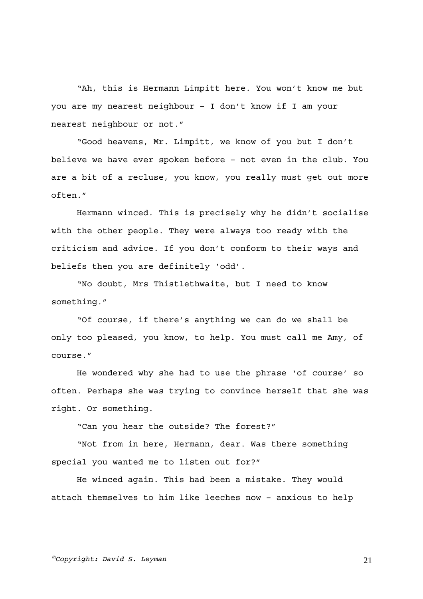"Ah, this is Hermann Limpitt here. You won't know me but you are my nearest neighbour – I don't know if I am your nearest neighbour or not."

"Good heavens, Mr. Limpitt, we know of you but I don't believe we have ever spoken before – not even in the club. You are a bit of a recluse, you know, you really must get out more often."

Hermann winced. This is precisely why he didn't socialise with the other people. They were always too ready with the criticism and advice. If you don't conform to their ways and beliefs then you are definitely 'odd'.

"No doubt, Mrs Thistlethwaite, but I need to know something."

"Of course, if there's anything we can do we shall be only too pleased, you know, to help. You must call me Amy, of course."

He wondered why she had to use the phrase 'of course' so often. Perhaps she was trying to convince herself that she was right. Or something.

"Can you hear the outside? The forest?"

"Not from in here, Hermann, dear. Was there something special you wanted me to listen out for?"

He winced again. This had been a mistake. They would attach themselves to him like leeches now – anxious to help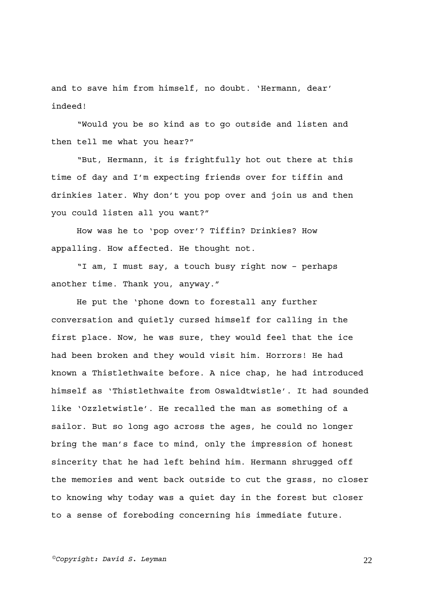and to save him from himself, no doubt. 'Hermann, dear' indeed!

"Would you be so kind as to go outside and listen and then tell me what you hear?"

"But, Hermann, it is frightfully hot out there at this time of day and I'm expecting friends over for tiffin and drinkies later. Why don't you pop over and join us and then you could listen all you want?"

How was he to 'pop over'? Tiffin? Drinkies? How appalling. How affected. He thought not.

"I am, I must say, a touch busy right now – perhaps another time. Thank you, anyway."

He put the 'phone down to forestall any further conversation and quietly cursed himself for calling in the first place. Now, he was sure, they would feel that the ice had been broken and they would visit him. Horrors! He had known a Thistlethwaite before. A nice chap, he had introduced himself as 'Thistlethwaite from Oswaldtwistle'. It had sounded like 'Ozzletwistle'. He recalled the man as something of a sailor. But so long ago across the ages, he could no longer bring the man's face to mind, only the impression of honest sincerity that he had left behind him. Hermann shrugged off the memories and went back outside to cut the grass, no closer to knowing why today was a quiet day in the forest but closer to a sense of foreboding concerning his immediate future.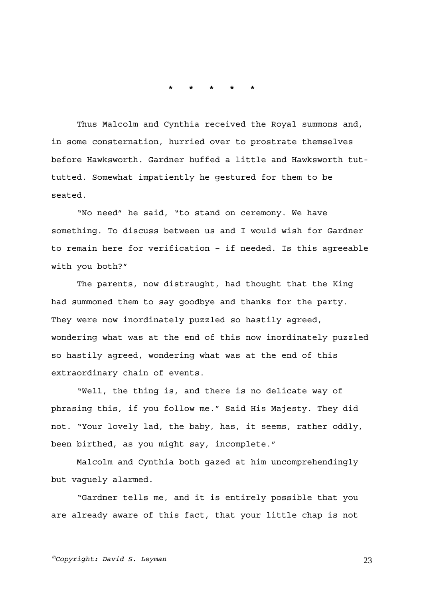**\* \* \* \* \*** 

Thus Malcolm and Cynthia received the Royal summons and, in some consternation, hurried over to prostrate themselves before Hawksworth. Gardner huffed a little and Hawksworth tuttutted. Somewhat impatiently he gestured for them to be seated.

"No need" he said, "to stand on ceremony. We have something. To discuss between us and I would wish for Gardner to remain here for verification – if needed. Is this agreeable with you both?"

The parents, now distraught, had thought that the King had summoned them to say goodbye and thanks for the party. They were now inordinately puzzled so hastily agreed, wondering what was at the end of this now inordinately puzzled so hastily agreed, wondering what was at the end of this extraordinary chain of events.

"Well, the thing is, and there is no delicate way of phrasing this, if you follow me." Said His Majesty. They did not. "Your lovely lad, the baby, has, it seems, rather oddly, been birthed, as you might say, incomplete."

Malcolm and Cynthia both gazed at him uncomprehendingly but vaguely alarmed.

"Gardner tells me, and it is entirely possible that you are already aware of this fact, that your little chap is not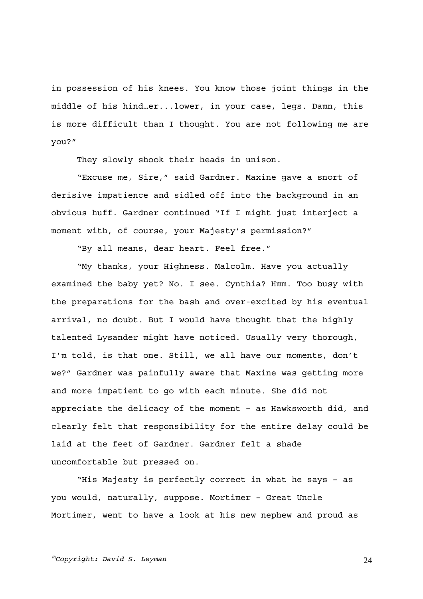in possession of his knees. You know those joint things in the middle of his hind…er...lower, in your case, legs. Damn, this is more difficult than I thought. You are not following me are you?"

They slowly shook their heads in unison.

"Excuse me, Sire," said Gardner. Maxine gave a snort of derisive impatience and sidled off into the background in an obvious huff. Gardner continued "If I might just interject a moment with, of course, your Majesty's permission?"

"By all means, dear heart. Feel free."

"My thanks, your Highness. Malcolm. Have you actually examined the baby yet? No. I see. Cynthia? Hmm. Too busy with the preparations for the bash and over-excited by his eventual arrival, no doubt. But I would have thought that the highly talented Lysander might have noticed. Usually very thorough, I'm told, is that one. Still, we all have our moments, don't we?" Gardner was painfully aware that Maxine was getting more and more impatient to go with each minute. She did not appreciate the delicacy of the moment – as Hawksworth did, and clearly felt that responsibility for the entire delay could be laid at the feet of Gardner. Gardner felt a shade uncomfortable but pressed on.

"His Majesty is perfectly correct in what he says – as you would, naturally, suppose. Mortimer – Great Uncle Mortimer, went to have a look at his new nephew and proud as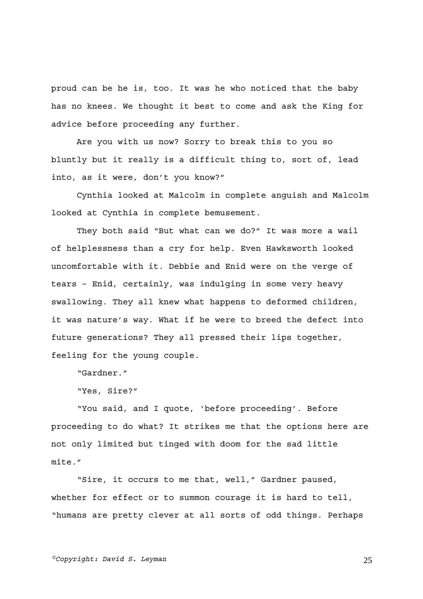proud can be he is, too. It was he who noticed that the baby has no knees. We thought it best to come and ask the King for advice before proceeding any further.

Are you with us now? Sorry to break this to you so bluntly but it really is a difficult thing to, sort of, lead into, as it were, don't you know?"

Cynthia looked at Malcolm in complete anguish and Malcolm looked at Cynthia in complete bemusement.

They both said "But what can we do?" It was more a wail of helplessness than a cry for help. Even Hawksworth looked uncomfortable with it. Debbie and Enid were on the verge of tears – Enid, certainly, was indulging in some very heavy swallowing. They all knew what happens to deformed children, it was nature's way. What if he were to breed the defect into future generations? They all pressed their lips together, feeling for the young couple.

"Gardner."

"Yes, Sire?"

"You said, and I quote, 'before proceeding'. Before proceeding to do what? It strikes me that the options here are not only limited but tinged with doom for the sad little mite."

"Sire, it occurs to me that, well," Gardner paused, whether for effect or to summon courage it is hard to tell, "humans are pretty clever at all sorts of odd things. Perhaps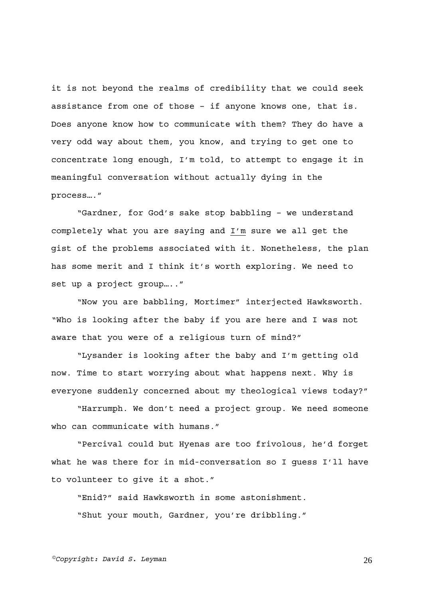it is not beyond the realms of credibility that we could seek assistance from one of those – if anyone knows one, that is. Does anyone know how to communicate with them? They do have a very odd way about them, you know, and trying to get one to concentrate long enough, I'm told, to attempt to engage it in meaningful conversation without actually dying in the process…."

"Gardner, for God's sake stop babbling – we understand completely what you are saying and I'm sure we all get the gist of the problems associated with it. Nonetheless, the plan has some merit and I think it's worth exploring. We need to set up a project group….."

"Now you are babbling, Mortimer" interjected Hawksworth. "Who is looking after the baby if you are here and I was not aware that you were of a religious turn of mind?"

"Lysander is looking after the baby and I'm getting old now. Time to start worrying about what happens next. Why is everyone suddenly concerned about my theological views today?"

"Harrumph. We don't need a project group. We need someone who can communicate with humans."

"Percival could but Hyenas are too frivolous, he'd forget what he was there for in mid-conversation so I guess I'll have to volunteer to give it a shot."

"Enid?" said Hawksworth in some astonishment. "Shut your mouth, Gardner, you're dribbling."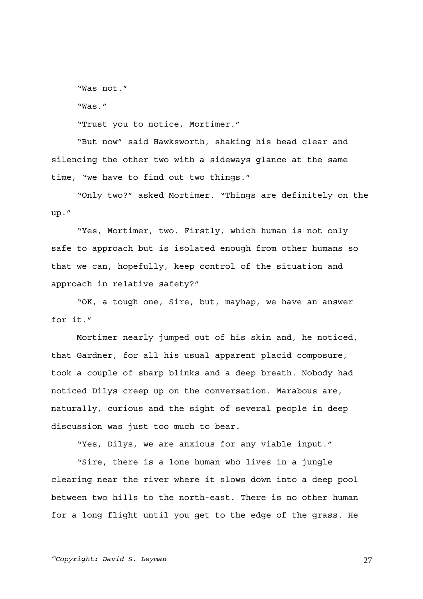"Was not."

"Was."

"Trust you to notice, Mortimer."

"But now" said Hawksworth, shaking his head clear and silencing the other two with a sideways glance at the same time, "we have to find out two things."

"Only two?" asked Mortimer. "Things are definitely on the up."

"Yes, Mortimer, two. Firstly, which human is not only safe to approach but is isolated enough from other humans so that we can, hopefully, keep control of the situation and approach in relative safety?"

"OK, a tough one, Sire, but, mayhap, we have an answer for it."

Mortimer nearly jumped out of his skin and, he noticed, that Gardner, for all his usual apparent placid composure, took a couple of sharp blinks and a deep breath. Nobody had noticed Dilys creep up on the conversation. Marabous are, naturally, curious and the sight of several people in deep discussion was just too much to bear.

"Yes, Dilys, we are anxious for any viable input."

"Sire, there is a lone human who lives in a jungle clearing near the river where it slows down into a deep pool between two hills to the north-east. There is no other human for a long flight until you get to the edge of the grass. He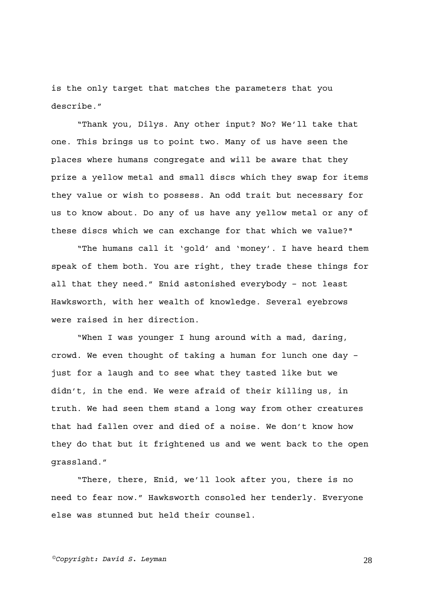is the only target that matches the parameters that you describe."

"Thank you, Dilys. Any other input? No? We'll take that one. This brings us to point two. Many of us have seen the places where humans congregate and will be aware that they prize a yellow metal and small discs which they swap for items they value or wish to possess. An odd trait but necessary for us to know about. Do any of us have any yellow metal or any of these discs which we can exchange for that which we value?"

"The humans call it 'gold' and 'money'. I have heard them speak of them both. You are right, they trade these things for all that they need." Enid astonished everybody – not least Hawksworth, with her wealth of knowledge. Several eyebrows were raised in her direction.

"When I was younger I hung around with a mad, daring, crowd. We even thought of taking a human for lunch one day – just for a laugh and to see what they tasted like but we didn't, in the end. We were afraid of their killing us, in truth. We had seen them stand a long way from other creatures that had fallen over and died of a noise. We don't know how they do that but it frightened us and we went back to the open grassland."

"There, there, Enid, we'll look after you, there is no need to fear now." Hawksworth consoled her tenderly. Everyone else was stunned but held their counsel.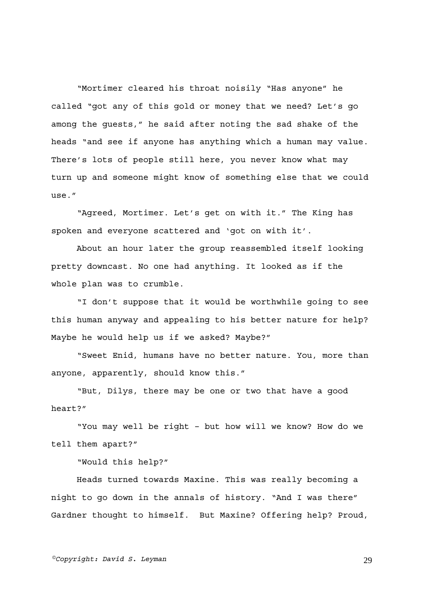"Mortimer cleared his throat noisily "Has anyone" he called "got any of this gold or money that we need? Let's go among the guests," he said after noting the sad shake of the heads "and see if anyone has anything which a human may value. There's lots of people still here, you never know what may turn up and someone might know of something else that we could use."

"Agreed, Mortimer. Let's get on with it." The King has spoken and everyone scattered and 'got on with it'.

About an hour later the group reassembled itself looking pretty downcast. No one had anything. It looked as if the whole plan was to crumble.

"I don't suppose that it would be worthwhile going to see this human anyway and appealing to his better nature for help? Maybe he would help us if we asked? Maybe?"

"Sweet Enid, humans have no better nature. You, more than anyone, apparently, should know this."

"But, Dilys, there may be one or two that have a good heart?"

"You may well be right – but how will we know? How do we tell them apart?"

"Would this help?"

Heads turned towards Maxine. This was really becoming a night to go down in the annals of history. "And I was there" Gardner thought to himself. But Maxine? Offering help? Proud,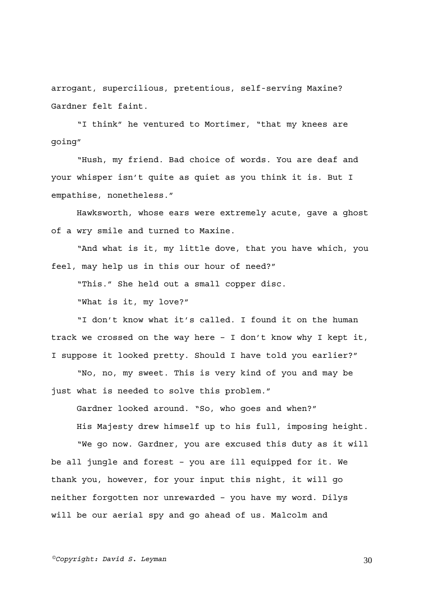arrogant, supercilious, pretentious, self-serving Maxine? Gardner felt faint.

"I think" he ventured to Mortimer, "that my knees are going"

"Hush, my friend. Bad choice of words. You are deaf and your whisper isn't quite as quiet as you think it is. But I empathise, nonetheless."

Hawksworth, whose ears were extremely acute, gave a ghost of a wry smile and turned to Maxine.

"And what is it, my little dove, that you have which, you feel, may help us in this our hour of need?"

"This." She held out a small copper disc.

"What is it, my love?"

"I don't know what it's called. I found it on the human track we crossed on the way here – I don't know why I kept it, I suppose it looked pretty. Should I have told you earlier?"

"No, no, my sweet. This is very kind of you and may be just what is needed to solve this problem."

Gardner looked around. "So, who goes and when?"

His Majesty drew himself up to his full, imposing height.

"We go now. Gardner, you are excused this duty as it will be all jungle and forest – you are ill equipped for it. We thank you, however, for your input this night, it will go neither forgotten nor unrewarded – you have my word. Dilys will be our aerial spy and go ahead of us. Malcolm and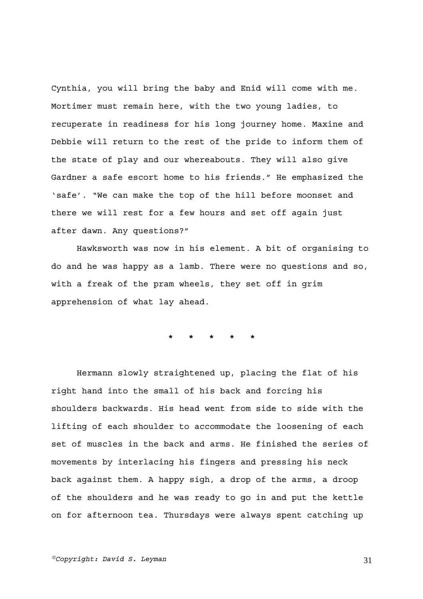Cynthia, you will bring the baby and Enid will come with me. Mortimer must remain here, with the two young ladies, to recuperate in readiness for his long journey home. Maxine and Debbie will return to the rest of the pride to inform them of the state of play and our whereabouts. They will also give Gardner a safe escort home to his friends." He emphasized the 'safe'. "We can make the top of the hill before moonset and there we will rest for a few hours and set off again just after dawn. Any questions?"

Hawksworth was now in his element. A bit of organising to do and he was happy as a lamb. There were no questions and so, with a freak of the pram wheels, they set off in grim apprehension of what lay ahead.

**\* \* \* \* \*** 

Hermann slowly straightened up, placing the flat of his right hand into the small of his back and forcing his shoulders backwards. His head went from side to side with the lifting of each shoulder to accommodate the loosening of each set of muscles in the back and arms. He finished the series of movements by interlacing his fingers and pressing his neck back against them. A happy sigh, a drop of the arms, a droop of the shoulders and he was ready to go in and put the kettle on for afternoon tea. Thursdays were always spent catching up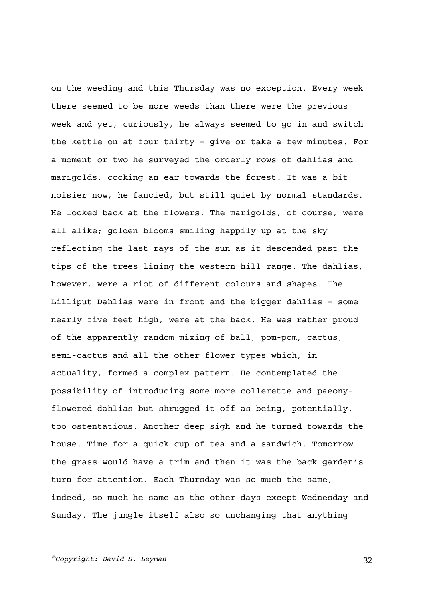on the weeding and this Thursday was no exception. Every week there seemed to be more weeds than there were the previous week and yet, curiously, he always seemed to go in and switch the kettle on at four thirty – give or take a few minutes. For a moment or two he surveyed the orderly rows of dahlias and marigolds, cocking an ear towards the forest. It was a bit noisier now, he fancied, but still quiet by normal standards. He looked back at the flowers. The marigolds, of course, were all alike; golden blooms smiling happily up at the sky reflecting the last rays of the sun as it descended past the tips of the trees lining the western hill range. The dahlias, however, were a riot of different colours and shapes. The Lilliput Dahlias were in front and the bigger dahlias – some nearly five feet high, were at the back. He was rather proud of the apparently random mixing of ball, pom-pom, cactus, semi-cactus and all the other flower types which, in actuality, formed a complex pattern. He contemplated the possibility of introducing some more collerette and paeonyflowered dahlias but shrugged it off as being, potentially, too ostentatious. Another deep sigh and he turned towards the house. Time for a quick cup of tea and a sandwich. Tomorrow the grass would have a trim and then it was the back garden's turn for attention. Each Thursday was so much the same, indeed, so much he same as the other days except Wednesday and Sunday. The jungle itself also so unchanging that anything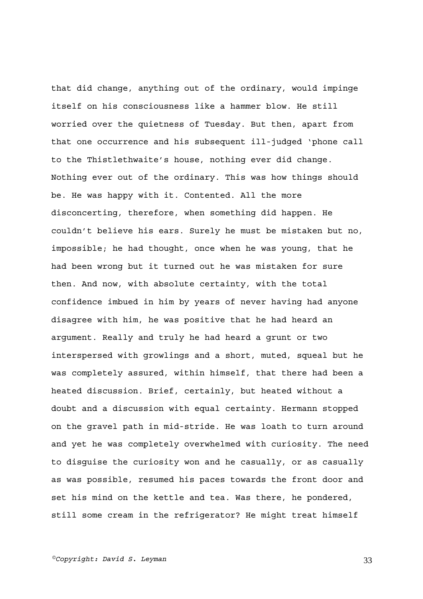that did change, anything out of the ordinary, would impinge itself on his consciousness like a hammer blow. He still worried over the quietness of Tuesday. But then, apart from that one occurrence and his subsequent ill-judged 'phone call to the Thistlethwaite's house, nothing ever did change. Nothing ever out of the ordinary. This was how things should be. He was happy with it. Contented. All the more disconcerting, therefore, when something did happen. He couldn't believe his ears. Surely he must be mistaken but no, impossible; he had thought, once when he was young, that he had been wrong but it turned out he was mistaken for sure then. And now, with absolute certainty, with the total confidence imbued in him by years of never having had anyone disagree with him, he was positive that he had heard an argument. Really and truly he had heard a grunt or two interspersed with growlings and a short, muted, squeal but he was completely assured, within himself, that there had been a heated discussion. Brief, certainly, but heated without a doubt and a discussion with equal certainty. Hermann stopped on the gravel path in mid-stride. He was loath to turn around and yet he was completely overwhelmed with curiosity. The need to disguise the curiosity won and he casually, or as casually as was possible, resumed his paces towards the front door and set his mind on the kettle and tea. Was there, he pondered, still some cream in the refrigerator? He might treat himself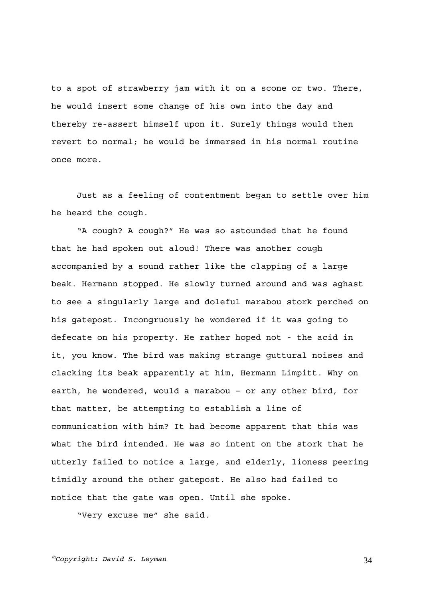to a spot of strawberry jam with it on a scone or two. There, he would insert some change of his own into the day and thereby re-assert himself upon it. Surely things would then revert to normal; he would be immersed in his normal routine once more.

Just as a feeling of contentment began to settle over him he heard the cough.

"A cough? A cough?" He was so astounded that he found that he had spoken out aloud! There was another cough accompanied by a sound rather like the clapping of a large beak. Hermann stopped. He slowly turned around and was aghast to see a singularly large and doleful marabou stork perched on his gatepost. Incongruously he wondered if it was going to defecate on his property. He rather hoped not - the acid in it, you know. The bird was making strange guttural noises and clacking its beak apparently at him, Hermann Limpitt. Why on earth, he wondered, would a marabou – or any other bird, for that matter, be attempting to establish a line of communication with him? It had become apparent that this was what the bird intended. He was so intent on the stork that he utterly failed to notice a large, and elderly, lioness peering timidly around the other gatepost. He also had failed to notice that the gate was open. Until she spoke.

"Very excuse me" she said.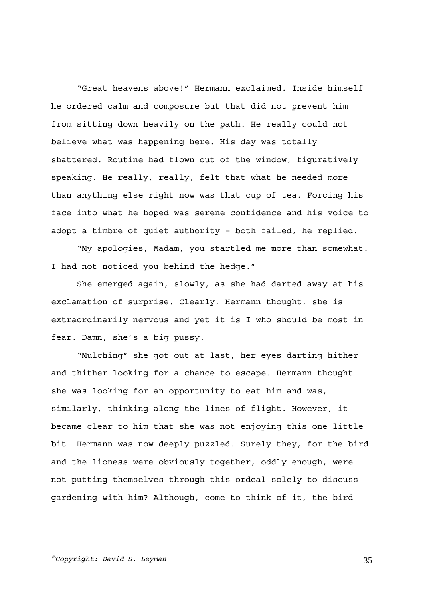"Great heavens above!" Hermann exclaimed. Inside himself he ordered calm and composure but that did not prevent him from sitting down heavily on the path. He really could not believe what was happening here. His day was totally shattered. Routine had flown out of the window, figuratively speaking. He really, really, felt that what he needed more than anything else right now was that cup of tea. Forcing his face into what he hoped was serene confidence and his voice to adopt a timbre of quiet authority – both failed, he replied.

"My apologies, Madam, you startled me more than somewhat. I had not noticed you behind the hedge."

She emerged again, slowly, as she had darted away at his exclamation of surprise. Clearly, Hermann thought, she is extraordinarily nervous and yet it is I who should be most in fear. Damn, she's a big pussy.

"Mulching" she got out at last, her eyes darting hither and thither looking for a chance to escape. Hermann thought she was looking for an opportunity to eat him and was, similarly, thinking along the lines of flight. However, it became clear to him that she was not enjoying this one little bit. Hermann was now deeply puzzled. Surely they, for the bird and the lioness were obviously together, oddly enough, were not putting themselves through this ordeal solely to discuss gardening with him? Although, come to think of it, the bird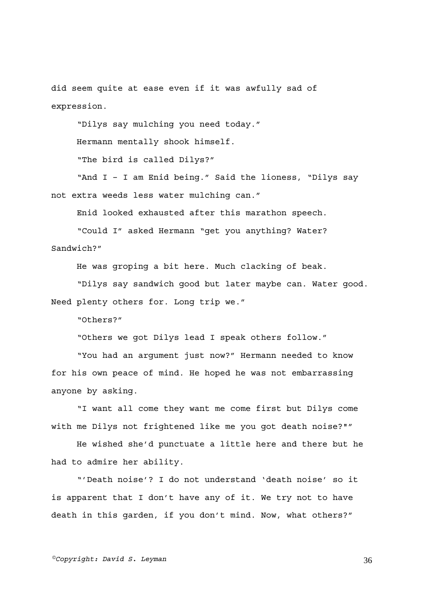did seem quite at ease even if it was awfully sad of expression.

"Dilys say mulching you need today."

Hermann mentally shook himself.

"The bird is called Dilys?"

"And I – I am Enid being." Said the lioness, "Dilys say not extra weeds less water mulching can."

Enid looked exhausted after this marathon speech.

"Could I" asked Hermann "get you anything? Water? Sandwich?"

He was groping a bit here. Much clacking of beak.

"Dilys say sandwich good but later maybe can. Water good. Need plenty others for. Long trip we."

"Others?"

"Others we got Dilys lead I speak others follow."

"You had an argument just now?" Hermann needed to know for his own peace of mind. He hoped he was not embarrassing anyone by asking.

"I want all come they want me come first but Dilys come with me Dilys not frightened like me you got death noise?""

He wished she'd punctuate a little here and there but he had to admire her ability.

"'Death noise'? I do not understand 'death noise' so it is apparent that I don't have any of it. We try not to have death in this garden, if you don't mind. Now, what others?"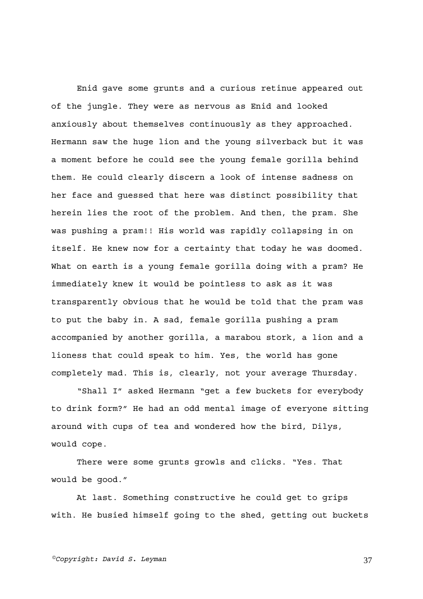Enid gave some grunts and a curious retinue appeared out of the jungle. They were as nervous as Enid and looked anxiously about themselves continuously as they approached. Hermann saw the huge lion and the young silverback but it was a moment before he could see the young female gorilla behind them. He could clearly discern a look of intense sadness on her face and guessed that here was distinct possibility that herein lies the root of the problem. And then, the pram. She was pushing a pram!! His world was rapidly collapsing in on itself. He knew now for a certainty that today he was doomed. What on earth is a young female gorilla doing with a pram? He immediately knew it would be pointless to ask as it was transparently obvious that he would be told that the pram was to put the baby in. A sad, female gorilla pushing a pram accompanied by another gorilla, a marabou stork, a lion and a lioness that could speak to him. Yes, the world has gone completely mad. This is, clearly, not your average Thursday.

"Shall I" asked Hermann "get a few buckets for everybody to drink form?" He had an odd mental image of everyone sitting around with cups of tea and wondered how the bird, Dilys, would cope.

There were some grunts growls and clicks. "Yes. That would be good."

At last. Something constructive he could get to grips with. He busied himself going to the shed, getting out buckets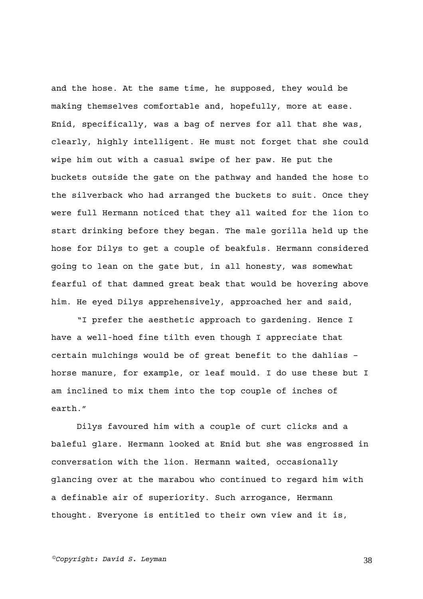and the hose. At the same time, he supposed, they would be making themselves comfortable and, hopefully, more at ease. Enid, specifically, was a bag of nerves for all that she was, clearly, highly intelligent. He must not forget that she could wipe him out with a casual swipe of her paw. He put the buckets outside the gate on the pathway and handed the hose to the silverback who had arranged the buckets to suit. Once they were full Hermann noticed that they all waited for the lion to start drinking before they began. The male gorilla held up the hose for Dilys to get a couple of beakfuls. Hermann considered going to lean on the gate but, in all honesty, was somewhat fearful of that damned great beak that would be hovering above him. He eyed Dilys apprehensively, approached her and said,

"I prefer the aesthetic approach to gardening. Hence I have a well-hoed fine tilth even though I appreciate that certain mulchings would be of great benefit to the dahlias – horse manure, for example, or leaf mould. I do use these but I am inclined to mix them into the top couple of inches of earth."

Dilys favoured him with a couple of curt clicks and a baleful glare. Hermann looked at Enid but she was engrossed in conversation with the lion. Hermann waited, occasionally glancing over at the marabou who continued to regard him with a definable air of superiority. Such arrogance, Hermann thought. Everyone is entitled to their own view and it is,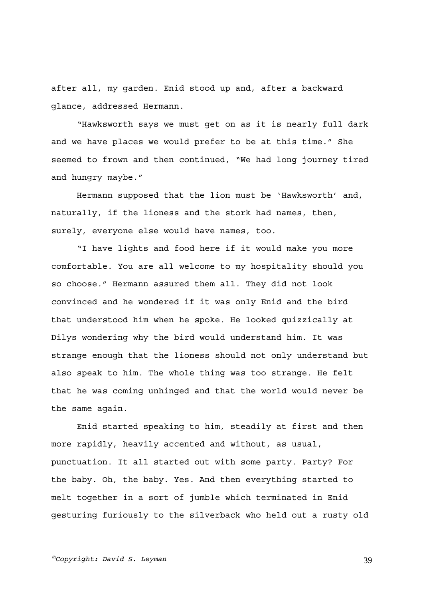after all, my garden. Enid stood up and, after a backward glance, addressed Hermann.

"Hawksworth says we must get on as it is nearly full dark and we have places we would prefer to be at this time." She seemed to frown and then continued, "We had long journey tired and hungry maybe."

Hermann supposed that the lion must be 'Hawksworth' and, naturally, if the lioness and the stork had names, then, surely, everyone else would have names, too.

"I have lights and food here if it would make you more comfortable. You are all welcome to my hospitality should you so choose." Hermann assured them all. They did not look convinced and he wondered if it was only Enid and the bird that understood him when he spoke. He looked quizzically at Dilys wondering why the bird would understand him. It was strange enough that the lioness should not only understand but also speak to him. The whole thing was too strange. He felt that he was coming unhinged and that the world would never be the same again.

Enid started speaking to him, steadily at first and then more rapidly, heavily accented and without, as usual, punctuation. It all started out with some party. Party? For the baby. Oh, the baby. Yes. And then everything started to melt together in a sort of jumble which terminated in Enid gesturing furiously to the silverback who held out a rusty old